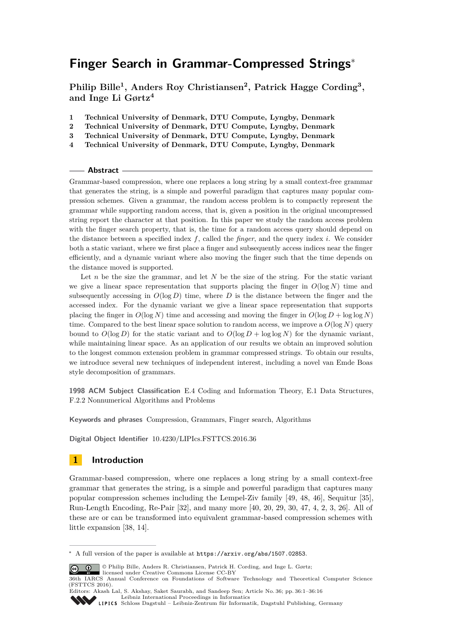# **Finger Search in Grammar-Compressed Strings**<sup>∗</sup>

**Philip Bille<sup>1</sup> , Anders Roy Christiansen<sup>2</sup> , Patrick Hagge Cording<sup>3</sup> , and Inge Li Gørtz<sup>4</sup>**

- **1 Technical University of Denmark, DTU Compute, Lyngby, Denmark**
- **2 Technical University of Denmark, DTU Compute, Lyngby, Denmark**
- **3 Technical University of Denmark, DTU Compute, Lyngby, Denmark**
- **4 Technical University of Denmark, DTU Compute, Lyngby, Denmark**

#### **Abstract**

Grammar-based compression, where one replaces a long string by a small context-free grammar that generates the string, is a simple and powerful paradigm that captures many popular compression schemes. Given a grammar, the random access problem is to compactly represent the grammar while supporting random access, that is, given a position in the original uncompressed string report the character at that position. In this paper we study the random access problem with the finger search property, that is, the time for a random access query should depend on the distance between a specified index *f*, called the *finger*, and the query index *i*. We consider both a static variant, where we first place a finger and subsequently access indices near the finger efficiently, and a dynamic variant where also moving the finger such that the time depends on the distance moved is supported.

Let *n* be the size the grammar, and let *N* be the size of the string. For the static variant we give a linear space representation that supports placing the finger in  $O(\log N)$  time and subsequently accessing in  $O(\log D)$  time, where *D* is the distance between the finger and the accessed index. For the dynamic variant we give a linear space representation that supports placing the finger in  $O(\log N)$  time and accessing and moving the finger in  $O(\log D + \log \log N)$ time. Compared to the best linear space solution to random access, we improve a  $O(\log N)$  query bound to  $O(\log D)$  for the static variant and to  $O(\log D + \log \log N)$  for the dynamic variant, while maintaining linear space. As an application of our results we obtain an improved solution to the longest common extension problem in grammar compressed strings. To obtain our results, we introduce several new techniques of independent interest, including a novel van Emde Boas style decomposition of grammars.

**1998 ACM Subject Classification** E.4 Coding and Information Theory, E.1 Data Structures, F.2.2 Nonnumerical Algorithms and Problems

**Keywords and phrases** Compression, Grammars, Finger search, Algorithms

**Digital Object Identifier** [10.4230/LIPIcs.FSTTCS.2016.36](http://dx.doi.org/10.4230/LIPIcs.FSTTCS.2016.36)

# **1 Introduction**

Grammar-based compression, where one replaces a long string by a small context-free grammar that generates the string, is a simple and powerful paradigm that captures many popular compression schemes including the Lempel-Ziv family [\[49,](#page-15-0) [48,](#page-15-1) [46\]](#page-15-2), Sequitur [\[35\]](#page-14-0), Run-Length Encoding, Re-Pair [\[32\]](#page-14-1), and many more [\[40,](#page-14-2) [20,](#page-13-0) [29,](#page-14-3) [30,](#page-14-4) [47,](#page-15-3) [4,](#page-13-1) [2,](#page-13-2) [3,](#page-13-3) [26\]](#page-14-5). All of these are or can be transformed into equivalent grammar-based compression schemes with little expansion [\[38,](#page-14-6) [14\]](#page-13-4).

<sup>∗</sup> A full version of the paper is available at <https://arxiv.org/abs/1507.02853>.

<sup>©</sup> Philip Bille, Anders R. Christiansen, Patrick H. Cording, and Inge L. Gørtz; licensed under Creative Commons License CC-BY

<sup>36</sup>th IARCS Annual Conference on Foundations of Software Technology and Theoretical Computer Science (FSTTCS 2016).

Editors: Akash Lal, S. Akshay, Saket Saurabh, and Sandeep Sen; Article No. 36; pp. 36:1–36[:16](#page-15-4) [Leibniz International Proceedings in Informatics](http://www.dagstuhl.de/lipics/)

[Schloss Dagstuhl – Leibniz-Zentrum für Informatik, Dagstuhl Publishing, Germany](http://www.dagstuhl.de)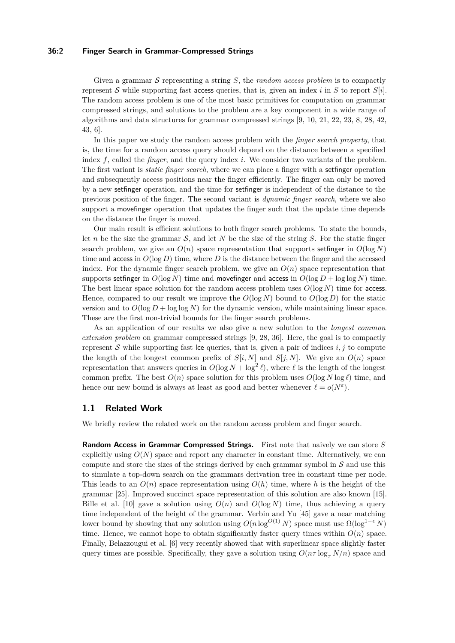#### **36:2 Finger Search in Grammar-Compressed Strings**

Given a grammar S representing a string *S*, the *random access problem* is to compactly represent S while supporting fast access queries, that is, given an index *i* in *S* to report *S*[*i*]. The random access problem is one of the most basic primitives for computation on grammar compressed strings, and solutions to the problem are a key component in a wide range of algorithms and data structures for grammar compressed strings [\[9,](#page-13-5) [10,](#page-13-6) [21,](#page-13-7) [22,](#page-13-8) [23,](#page-14-7) [8,](#page-13-9) [28,](#page-14-8) [42,](#page-14-9) [43,](#page-14-10) [6\]](#page-13-10).

In this paper we study the random access problem with the *finger search property*, that is, the time for a random access query should depend on the distance between a specified index *f*, called the *finger*, and the query index *i*. We consider two variants of the problem. The first variant is *static finger search*, where we can place a finger with a setfinger operation and subsequently access positions near the finger efficiently. The finger can only be moved by a new setfinger operation, and the time for setfinger is independent of the distance to the previous position of the finger. The second variant is *dynamic finger search*, where we also support a movefinger operation that updates the finger such that the update time depends on the distance the finger is moved.

Our main result is efficient solutions to both finger search problems. To state the bounds, let *n* be the size the grammar  $S$ , and let *N* be the size of the string *S*. For the static finger search problem, we give an  $O(n)$  space representation that supports settinger in  $O(\log N)$ time and access in  $O(\log D)$  time, where D is the distance between the finger and the accessed index. For the dynamic finger search problem, we give an  $O(n)$  space representation that supports setfinger in  $O(\log N)$  time and move finger and access in  $O(\log D + \log \log N)$  time. The best linear space solution for the random access problem uses  $O(log N)$  time for access. Hence, compared to our result we improve the  $O(\log N)$  bound to  $O(\log D)$  for the static version and to  $O(\log D + \log \log N)$  for the dynamic version, while maintaining linear space. These are the first non-trivial bounds for the finger search problems.

As an application of our results we also give a new solution to the *longest common extension problem* on grammar compressed strings [\[9,](#page-13-5) [28,](#page-14-8) [36\]](#page-14-11). Here, the goal is to compactly represent S while supporting fast lce queries, that is, given a pair of indices  $i, j$  to compute the length of the longest common prefix of  $S[i, N]$  and  $S[j, N]$ . We give an  $O(n)$  space representation that answers queries in  $O(\log N + \log^2 \ell)$ , where  $\ell$  is the length of the longest common prefix. The best  $O(n)$  space solution for this problem uses  $O(\log N \log \ell)$  time, and hence our new bound is always at least as good and better whenever  $\ell = o(N^{\varepsilon})$ .

### **1.1 Related Work**

We briefly review the related work on the random access problem and finger search.

**Random Access in Grammar Compressed Strings.** First note that naively we can store *S* explicitly using  $O(N)$  space and report any character in constant time. Alternatively, we can compute and store the sizes of the strings derived by each grammar symbol in  $\mathcal S$  and use this to simulate a top-down search on the grammars derivation tree in constant time per node. This leads to an  $O(n)$  space representation using  $O(h)$  time, where h is the height of the grammar [\[25\]](#page-14-12). Improved succinct space representation of this solution are also known [\[15\]](#page-13-11). Bille et al. [\[10\]](#page-13-6) gave a solution using  $O(n)$  and  $O(\log N)$  time, thus achieving a query time independent of the height of the grammar. Verbin and Yu [\[45\]](#page-15-5) gave a near matching lower bound by showing that any solution using  $O(n \log^{O(1)} N)$  space must use  $\Omega(\log^{1-\epsilon} N)$ time. Hence, we cannot hope to obtain significantly faster query times within  $O(n)$  space. Finally, Belazzougui et al. [\[6\]](#page-13-10) very recently showed that with superlinear space slightly faster query times are possible. Specifically, they gave a solution using  $O(n\tau \log_{\tau} N/n)$  space and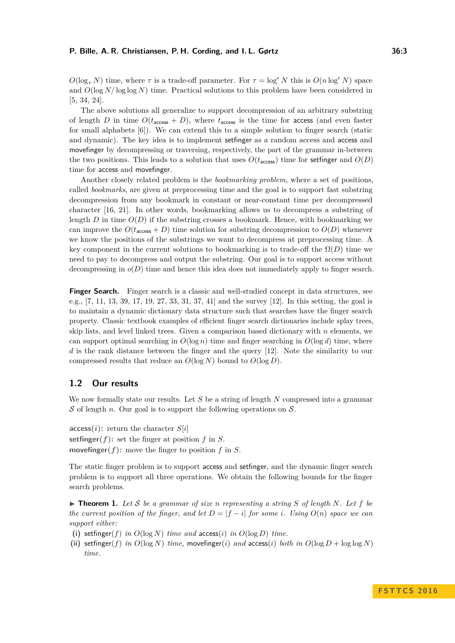$O(\log_{\tau} N)$  time, where  $\tau$  is a trade-off parameter. For  $\tau = \log^{\epsilon} N$  this is  $O(n \log^{\epsilon} N)$  space and  $O(\log N/\log \log N)$  time. Practical solutions to this problem have been considered in [\[5,](#page-13-12) [34,](#page-14-13) [24\]](#page-14-14).

The above solutions all generalize to support decompression of an arbitrary substring of length *D* in time  $O(t_{\text{access}} + D)$ , where  $t_{\text{access}}$  is the time for access (and even faster for small alphabets [\[6\]](#page-13-10)). We can extend this to a simple solution to finger search (static and dynamic). The key idea is to implement setfinger as a random access and access and movefinger by decompressing or traversing, respectively, the part of the grammar in-between the two positions. This leads to a solution that uses  $O(t_{\text{access}})$  time for settinger and  $O(D)$ time for access and movefinger.

Another closely related problem is the *bookmarking problem*, where a set of positions, called *bookmarks*, are given at preprocessing time and the goal is to support fast substring decompression from any bookmark in constant or near-constant time per decompressed character [\[16,](#page-13-13) [21\]](#page-13-7). In other words, bookmarking allows us to decompress a substring of length  $D$  in time  $O(D)$  if the substring crosses a bookmark. Hence, with bookmarking we can improve the  $O(t_{\text{access}} + D)$  time solution for substring decompression to  $O(D)$  whenever we know the positions of the substrings we want to decompress at preprocessing time. A key component in the current solutions to bookmarking is to trade-off the  $\Omega(D)$  time we need to pay to decompress and output the substring. Our goal is to support access without decompressing in  $o(D)$  time and hence this idea does not immediately apply to finger search.

**Finger Search.** Finger search is a classic and well-studied concept in data structures, see e.g., [\[7,](#page-13-14) [11,](#page-13-15) [13,](#page-13-16) [39,](#page-14-15) [17,](#page-13-17) [19,](#page-13-18) [27,](#page-14-16) [33,](#page-14-17) [31,](#page-14-18) [37,](#page-14-19) [41\]](#page-14-20) and the survey [\[12\]](#page-13-19). In this setting, the goal is to maintain a dynamic dictionary data structure such that searches have the finger search property. Classic textbook examples of efficient finger search dictionaries include splay trees, skip lists, and level linked trees. Given a comparison based dictionary with *n* elements, we can support optimal searching in  $O(\log n)$  time and finger searching in  $O(\log d)$  time, where *d* is the rank distance between the finger and the query [\[12\]](#page-13-19). Note the similarity to our compressed results that reduce an  $O(\log N)$  bound to  $O(\log D)$ .

### **1.2 Our results**

We now formally state our results. Let *S* be a string of length *N* compressed into a grammar  $\mathcal S$  of length *n*. Our goal is to support the following operations on  $\mathcal S$ .

 $\textbf{access}(i)$ : return the character  $S[i]$ **setfinger** $(f)$ : set the finger at position  $f$  in  $S$ . **movefinger(***f***):** move the finger to position *f* in *S*.

The static finger problem is to support access and setfinger, and the dynamic finger search problem is to support all three operations. We obtain the following bounds for the finger search problems.

<span id="page-2-0"></span> $\triangleright$  **Theorem 1.** Let S be a grammar of size *n* representing a string S of length N. Let f be *the current position of the finger, and let*  $D = |f - i|$  *for some i. Using*  $O(n)$  *space we can support either:*

- (i) setfinger(*f*) *in*  $O(\log N)$  *time and*  $\text{access}(i)$  *in*  $O(\log D)$  *time.*
- (ii) setfinger(*f*) *in*  $O(\log N)$  *time,* movefinger(*i*) *and* access(*i*) *both in*  $O(\log D + \log \log N)$ *time.*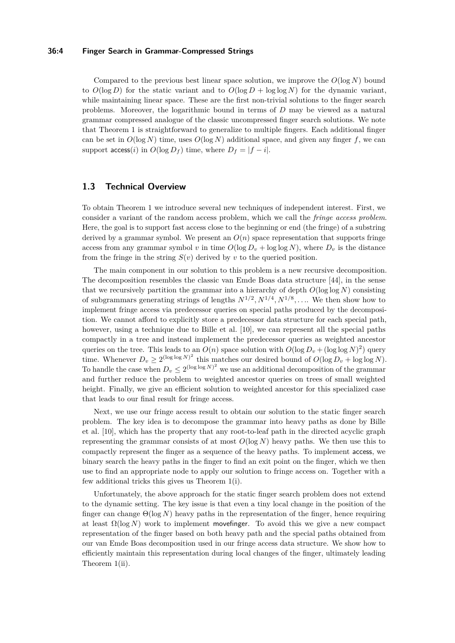#### **36:4 Finger Search in Grammar-Compressed Strings**

Compared to the previous best linear space solution, we improve the *O*(log *N*) bound to  $O(\log D)$  for the static variant and to  $O(\log D + \log \log N)$  for the dynamic variant, while maintaining linear space. These are the first non-trivial solutions to the finger search problems. Moreover, the logarithmic bound in terms of *D* may be viewed as a natural grammar compressed analogue of the classic uncompressed finger search solutions. We note that Theorem [1](#page-2-0) is straightforward to generalize to multiple fingers. Each additional finger can be set in  $O(\log N)$  time, uses  $O(\log N)$  additional space, and given any finger *f*, we can support  $\text{access}(i)$  in  $O(\log D_f)$  time, where  $D_f = |f - i|$ .

# **1.3 Technical Overview**

To obtain Theorem [1](#page-2-0) we introduce several new techniques of independent interest. First, we consider a variant of the random access problem, which we call the *fringe access problem*. Here, the goal is to support fast access close to the beginning or end (the fringe) of a substring derived by a grammar symbol. We present an  $O(n)$  space representation that supports fringe access from any grammar symbol v in time  $O(\log D_v + \log \log N)$ , where  $D_v$  is the distance from the fringe in the string  $S(v)$  derived by *v* to the queried position.

The main component in our solution to this problem is a new recursive decomposition. The decomposition resembles the classic van Emde Boas data structure [\[44\]](#page-14-21), in the sense that we recursively partition the grammar into a hierarchy of depth  $O(\log \log N)$  consisting of subgrammars generating strings of lengths  $N^{1/2}$ ,  $N^{1/4}$ ,  $N^{1/8}$ , ... We then show how to implement fringe access via predecessor queries on special paths produced by the decomposition. We cannot afford to explicitly store a predecessor data structure for each special path, however, using a technique due to Bille et al. [\[10\]](#page-13-6), we can represent all the special paths compactly in a tree and instead implement the predecessor queries as weighted ancestor queries on the tree. This leads to an  $O(n)$  space solution with  $O(\log D_v + (\log \log N)^2)$  query time. Whenever  $D_v \ge 2^{(\log \log N)^2}$  this matches our desired bound of  $O(\log D_v + \log \log N)$ . To handle the case when  $D_v \leq 2^{(\log \log N)^2}$  we use an additional decomposition of the grammar and further reduce the problem to weighted ancestor queries on trees of small weighted height. Finally, we give an efficient solution to weighted ancestor for this specialized case that leads to our final result for fringe access.

Next, we use our fringe access result to obtain our solution to the static finger search problem. The key idea is to decompose the grammar into heavy paths as done by Bille et al. [\[10\]](#page-13-6), which has the property that any root-to-leaf path in the directed acyclic graph representing the grammar consists of at most  $O(\log N)$  heavy paths. We then use this to compactly represent the finger as a sequence of the heavy paths. To implement access, we binary search the heavy paths in the finger to find an exit point on the finger, which we then use to find an appropriate node to apply our solution to fringe access on. Together with a few additional tricks this gives us Theorem [1\(](#page-2-0)i).

Unfortunately, the above approach for the static finger search problem does not extend to the dynamic setting. The key issue is that even a tiny local change in the position of the finger can change  $\Theta(\log N)$  heavy paths in the representation of the finger, hence requiring at least  $\Omega(\log N)$  work to implement move finger. To avoid this we give a new compact representation of the finger based on both heavy path and the special paths obtained from our van Emde Boas decomposition used in our fringe access data structure. We show how to efficiently maintain this representation during local changes of the finger, ultimately leading Theorem [1\(](#page-2-0)ii).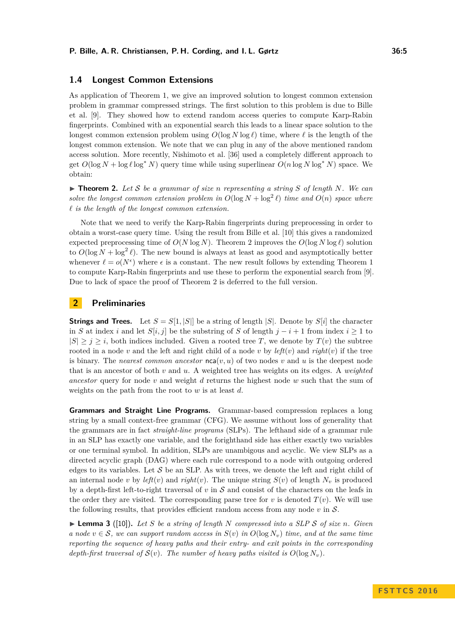### **1.4 Longest Common Extensions**

As application of Theorem [1,](#page-2-0) we give an improved solution to longest common extension problem in grammar compressed strings. The first solution to this problem is due to Bille et al. [\[9\]](#page-13-5). They showed how to extend random access queries to compute Karp-Rabin fingerprints. Combined with an exponential search this leads to a linear space solution to the longest common extension problem using  $O(\log N \log \ell)$  time, where  $\ell$  is the length of the longest common extension. We note that we can plug in any of the above mentioned random access solution. More recently, Nishimoto et al. [\[36\]](#page-14-11) used a completely different approach to get  $O(\log N + \log \ell \log^* N)$  query time while using superlinear  $O(n \log N \log^* N)$  space. We obtain:

<span id="page-4-0"></span> $\triangleright$  **Theorem 2.** Let S be a grammar of size *n* representing a string S of length N. We can *solve the longest common extension problem in*  $O(\log N + \log^2 \ell)$  *time and*  $O(n)$  *space where*  $\ell$  *is the length of the longest common extension.* 

Note that we need to verify the Karp-Rabin fingerprints during preprocessing in order to obtain a worst-case query time. Using the result from Bille et al. [\[10\]](#page-13-6) this gives a randomized expected preprocessing time of  $O(N \log N)$ . Theorem [2](#page-4-0) improves the  $O(\log N \log \ell)$  solution to  $O(\log N + \log^2 \ell)$ . The new bound is always at least as good and asymptotically better whenever  $\ell = o(N^{\epsilon})$  where  $\epsilon$  is a constant. The new result follows by extending Theorem [1](#page-2-0) to compute Karp-Rabin fingerprints and use these to perform the exponential search from [\[9\]](#page-13-5). Due to lack of space the proof of Theorem [2](#page-4-0) is deferred to the full version.

### **2 Preliminaries**

**Strings and Trees.** Let  $S = S[1, |S|]$  be a string of length  $|S|$ . Denote by  $S[i]$  the character in *S* at index *i* and let  $S[i, j]$  be the substring of *S* of length  $j - i + 1$  from index  $i \ge 1$  to  $|S| \geq i \geq i$ , both indices included. Given a rooted tree *T*, we denote by  $T(v)$  the subtree rooted in a node *v* and the left and right child of a node *v* by  $left(v\right)$  and  $right(v)$  if the tree is binary. The *nearest common ancestor*  $nca(v, u)$  of two nodes  $v$  and  $u$  is the deepest node that is an ancestor of both *v* and *u*. A weighted tree has weights on its edges. A *weighted ancestor* query for node *v* and weight *d* returns the highest node *w* such that the sum of weights on the path from the root to *w* is at least *d*.

**Grammars and Straight Line Programs.** Grammar-based compression replaces a long string by a small context-free grammar (CFG). We assume without loss of generality that the grammars are in fact *straight-line programs* (SLPs). The lefthand side of a grammar rule in an SLP has exactly one variable, and the forighthand side has either exactly two variables or one terminal symbol. In addition, SLPs are unambigous and acyclic. We view SLPs as a directed acyclic graph (DAG) where each rule correspond to a node with outgoing ordered edges to its variables. Let  $S$  be an SLP. As with trees, we denote the left and right child of an internal node *v* by  $left(v\right)$  and  $right(v)$ . The unique string  $S(v)$  of length  $N_v$  is produced by a depth-first left-to-right traversal of *v* in S and consist of the characters on the leafs in the order they are visited. The corresponding parse tree for  $v$  is denoted  $T(v)$ . We will use the following results, that provides efficient random access from any node *v* in S.

<span id="page-4-1"></span> $\blacktriangleright$  **Lemma 3** ([\[10\]](#page-13-6)). Let *S* be a string of length *N* compressed into a SLP *S* of size *n*. Given *a* node  $v \in S$ , we can support random access in  $S(v)$  in  $O(\log N_v)$  time, and at the same time *reporting the sequence of heavy paths and their entry- and exit points in the corresponding depth-first traversal of*  $S(v)$ *. The number of heavy paths visited is*  $O(\log N_v)$ *.*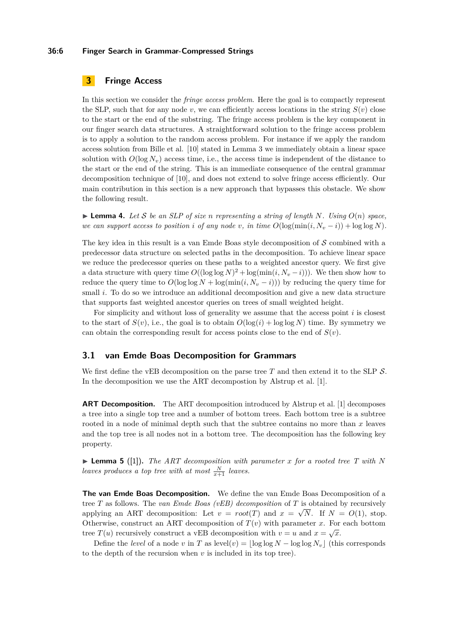#### **36:6 Finger Search in Grammar-Compressed Strings**

# **3 Fringe Access**

In this section we consider the *fringe access problem*. Here the goal is to compactly represent the SLP, such that for any node *v*, we can efficiently access locations in the string  $S(v)$  close to the start or the end of the substring. The fringe access problem is the key component in our finger search data structures. A straightforward solution to the fringe access problem is to apply a solution to the random access problem. For instance if we apply the random access solution from Bille et al. [\[10\]](#page-13-6) stated in Lemma [3](#page-4-1) we immediately obtain a linear space solution with  $O(\log N_v)$  access time, i.e., the access time is independent of the distance to the start or the end of the string. This is an immediate consequence of the central grammar decomposition technique of [\[10\]](#page-13-6), and does not extend to solve fringe access efficiently. Our main contribution in this section is a new approach that bypasses this obstacle. We show the following result.

<span id="page-5-0"></span> $\blacktriangleright$  **Lemma 4.** Let S be an SLP of size *n* representing a string of length N. Using  $O(n)$  space, *we can support access to position i of any node v, in time*  $O(\log(\min(i, N_v - i)) + \log \log N)$ .

The key idea in this result is a van Emde Boas style decomposition of  $S$  combined with a predecessor data structure on selected paths in the decomposition. To achieve linear space we reduce the predecessor queries on these paths to a weighted ancestor query. We first give a data structure with query time  $O((\log \log N)^2 + \log(\min(i, N_v - i)))$ . We then show how to reduce the query time to  $O(\log \log N + \log(\min(i, N_v - i)))$  by reducing the query time for small *i*. To do so we introduce an additional decomposition and give a new data structure that supports fast weighted ancestor queries on trees of small weighted height.

For simplicity and without loss of generality we assume that the access point *i* is closest to the start of  $S(v)$ , i.e., the goal is to obtain  $O(\log(i) + \log \log N)$  time. By symmetry we can obtain the corresponding result for access points close to the end of  $S(v)$ .

### **3.1 van Emde Boas Decomposition for Grammars**

We first define the vEB decomposition on the parse tree T and then extend it to the SLP S. In the decomposition we use the ART decompostion by Alstrup et al. [\[1\]](#page-13-20).

**ART Decomposition.** The ART decomposition introduced by Alstrup et al. [\[1\]](#page-13-20) decomposes a tree into a single top tree and a number of bottom trees. Each bottom tree is a subtree rooted in a node of minimal depth such that the subtree contains no more than *x* leaves and the top tree is all nodes not in a bottom tree. The decomposition has the following key property.

▶ **Lemma 5** ([\[1\]](#page-13-20)). *The ART decomposition with parameter x for a rooted tree T with N leaves produces a top tree with at most*  $\frac{N}{x+1}$  *leaves.* 

**The van Emde Boas Decomposition.** We define the van Emde Boas Decomposition of a tree *T* as follows. The *van Emde Boas (vEB) decomposition* of *T* is obtained by recursively applying an ART decomposition: Let  $v = root(T)$  and  $x = \sqrt{N}$ . If  $N = O(1)$ , stop. Otherwise, construct an ART decomposition of  $T(v)$  with parameter *x*. For each bottom tree  $T(u)$  recursively construct a vEB decomposition with  $v = u$  and  $x = \sqrt{x}$ .

Define the *level* of a node *v* in *T* as level(*v*) =  $\log \log N - \log \log N_v$  (this corresponds to the depth of the recursion when *v* is included in its top tree).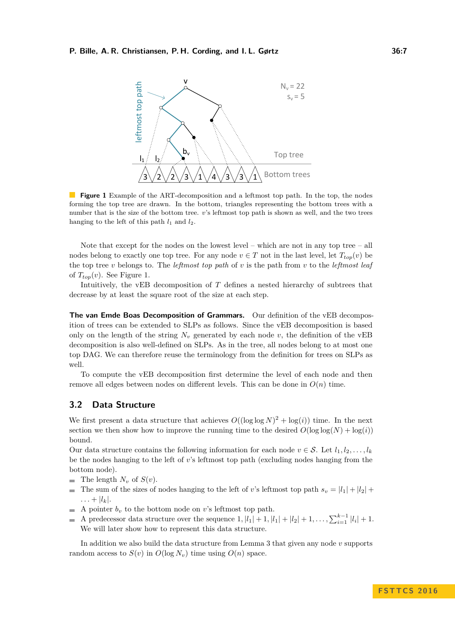<span id="page-6-0"></span>

**Figure 1** Example of the ART-decomposition and a leftmost top path. In the top, the nodes forming the top tree are drawn. In the bottom, triangles representing the bottom trees with a number that is the size of the bottom tree. *v*'s leftmost top path is shown as well, and the two trees hanging to the left of this path  $l_1$  and  $l_2$ .

Note that except for the nodes on the lowest level – which are not in any top tree – all nodes belong to exactly one top tree. For any node  $v \in T$  not in the last level, let  $T_{top}(v)$  be the top tree *v* belongs to. The *leftmost top path* of *v* is the path from *v* to the *leftmost leaf* of  $T_{top}(v)$ . See Figure [1.](#page-6-0)

Intuitively, the vEB decomposition of *T* defines a nested hierarchy of subtrees that decrease by at least the square root of the size at each step.

**The van Emde Boas Decomposition of Grammars.** Our definition of the vEB decomposition of trees can be extended to SLPs as follows. Since the vEB decomposition is based only on the length of the string  $N_v$  generated by each node  $v$ , the definition of the vEB decomposition is also well-defined on SLPs. As in the tree, all nodes belong to at most one top DAG. We can therefore reuse the terminology from the definition for trees on SLPs as well.

To compute the vEB decomposition first determine the level of each node and then remove all edges between nodes on different levels. This can be done in  $O(n)$  time.

# **3.2 Data Structure**

We first present a data structure that achieves  $O((\log \log N)^2 + \log(i))$  time. In the next section we then show how to improve the running time to the desired  $O(\log \log(N) + \log(i))$ bound.

Our data structure contains the following information for each node  $v \in \mathcal{S}$ . Let  $l_1, l_2, \ldots, l_k$ be the nodes hanging to the left of *v*'s leftmost top path (excluding nodes hanging from the bottom node).

- $\blacksquare$  The length  $N_v$  of  $S(v)$ .
- The sum of the sizes of nodes hanging to the left of *v*'s leftmost top path  $s_v = |l_1| + |l_2| +$  $\blacksquare$  $\ldots + |l_k|$ .
- A pointer  $b_v$  to the bottom node on *v*'s leftmost top path.  $\blacksquare$
- A predecessor data structure over the sequence  $1, |l_1| + 1, |l_1| + |l_2| + 1, \ldots, \sum_{i=1}^{k-1} |l_i| + 1$ .  $\overline{\phantom{a}}$ We will later show how to represent this data structure.

In addition we also build the data structure from Lemma [3](#page-4-1) that given any node *v* supports random access to  $S(v)$  in  $O(\log N_v)$  time using  $O(n)$  space.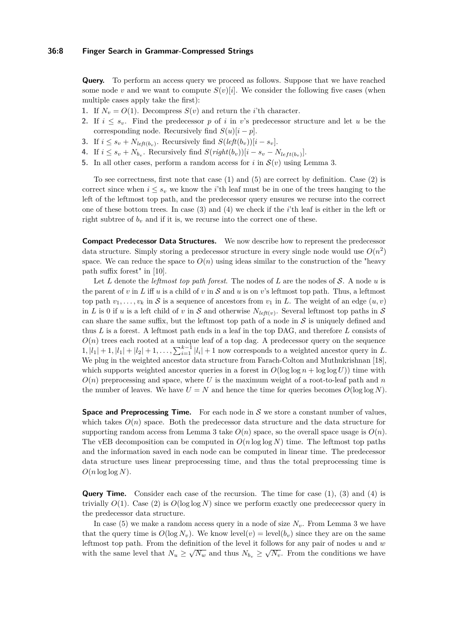**Query.** To perform an access query we proceed as follows. Suppose that we have reached some node *v* and we want to compute  $S(v)[i]$ . We consider the following five cases (when multiple cases apply take the first):

- **1.** If  $N_v = O(1)$ . Decompress  $S(v)$  and return the *i*'th character.
- **2.** If  $i \leq s_v$ . Find the predecessor p of *i* in *v*'s predecessor structure and let *u* be the corresponding node. Recursively find  $S(u)[i - p]$ .
- **3.** If  $i \leq s_v + N_{left(b_v)}$ . Recursively find  $S(\text{left}(b_v))[i s_v]$ .
- **4.** If  $i \leq s_v + N_{b_v}$ . Recursively find  $S(\text{right}(b_v))[i s_v N_{\text{left}(b_v)}].$
- **5.** In all other cases, perform a random access for *i* in  $\mathcal{S}(v)$  using Lemma [3.](#page-4-1)

To see correctness, first note that case (1) and (5) are correct by definition. Case (2) is correct since when  $i \leq s_v$  we know the *i*'th leaf must be in one of the trees hanging to the left of the leftmost top path, and the predecessor query ensures we recurse into the correct one of these bottom trees. In case (3) and (4) we check if the *i*'th leaf is either in the left or right subtree of  $b_v$  and if it is, we recurse into the correct one of these.

**Compact Predecessor Data Structures.** We now describe how to represent the predecessor data structure. Simply storing a predecessor structure in every single node would use  $O(n^2)$ space. We can reduce the space to  $O(n)$  using ideas similar to the construction of the "heavy" path suffix forest" in [\[10\]](#page-13-6).

Let *L* denote the *leftmost top path forest*. The nodes of *L* are the nodes of S. A node *u* is the parent of *v* in *L* iff *u* is a child of *v* in  $S$  and *u* is on *v*'s leftmost top path. Thus, a leftmost top path  $v_1, \ldots, v_k$  in S is a sequence of ancestors from  $v_1$  in L. The weight of an edge  $(u, v)$ in *L* is 0 if *u* is a left child of *v* in *S* and otherwise  $N_{left(v)}$ . Several leftmost top paths in *S* can share the same suffix, but the leftmost top path of a node in  $S$  is uniquely defined and thus *L* is a forest. A leftmost path ends in a leaf in the top DAG, and therefore *L* consists of  $O(n)$  trees each rooted at a unique leaf of a top dag. A predecessor query on the sequence  $1, |l_1| + 1, |l_1| + |l_2| + 1, \ldots, \sum_{i=1}^{k-1} |l_i| + 1$  now corresponds to a weighted ancestor query in *L*. We plug in the weighted ancestor data structure from Farach-Colton and Muthukrishnan [\[18\]](#page-13-21), which supports weighted ancestor queries in a forest in  $O(\log \log n + \log \log U)$  time with  $O(n)$  preprocessing and space, where U is the maximum weight of a root-to-leaf path and *n* the number of leaves. We have  $U = N$  and hence the time for queries becomes  $O(\log \log N)$ .

**Space and Preprocessing Time.** For each node in  $S$  we store a constant number of values, which takes  $O(n)$  space. Both the predecessor data structure and the data structure for supporting random access from Lemma [3](#page-4-1) take  $O(n)$  space, so the overall space usage is  $O(n)$ . The vEB decomposition can be computed in  $O(n \log \log N)$  time. The leftmost top paths and the information saved in each node can be computed in linear time. The predecessor data structure uses linear preprocessing time, and thus the total preprocessing time is  $O(n \log \log N)$ .

**Query Time.** Consider each case of the recursion. The time for case (1), (3) and (4) is trivially  $O(1)$ . Case (2) is  $O(\log \log N)$  since we perform exactly one predecessor query in the predecessor data structure.

In case (5) we make a random access query in a node of size  $N_v$ . From Lemma [3](#page-4-1) we have that the query time is  $O(\log N_v)$ . We know level(*v*) = level(*b<sub>i</sub>*) since they are on the same leftmost top path. From the definition of the level it follows for any pair of nodes *u* and *w* with the same level that  $N_u \geq \sqrt{N_w}$  and thus  $N_{b_v} \geq \sqrt{N_v}$ . From the conditions we have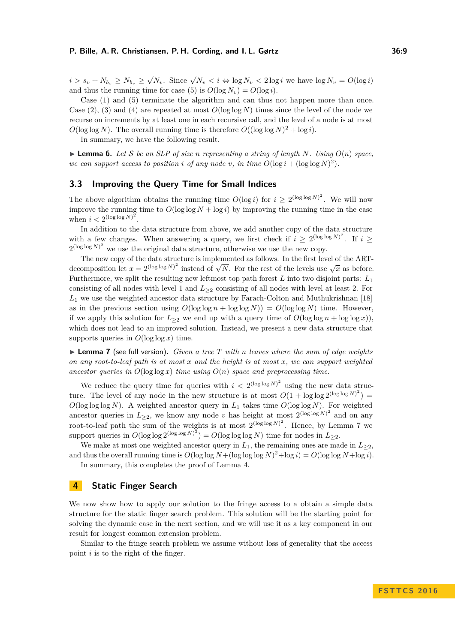$i > s_v + N_{b_v} \ge N_{b_v} \ge \sqrt{N_v}$ . Since  $\sqrt{N_v} < i \Leftrightarrow \log N_v < 2 \log i$  we have  $\log N_v = O(\log i)$ and thus the running time for case (5) is  $O(\log N_v) = O(\log i)$ .

Case (1) and (5) terminate the algorithm and can thus not happen more than once. Case  $(2)$ ,  $(3)$  and  $(4)$  are repeated at most  $O(\log \log N)$  times since the level of the node we recurse on increments by at least one in each recursive call, and the level of a node is at most  $O(\log \log N)$ . The overall running time is therefore  $O((\log \log N)^2 + \log i)$ .

In summary, we have the following result.

 $\blacktriangleright$  **Lemma 6.** Let S be an SLP of size *n* representing a string of length N. Using  $O(n)$  space, *we can support access to position <i>i* of any node *v*, in time  $O(\log i + (\log \log N)^2)$ .

### **3.3 Improving the Query Time for Small Indices**

The above algorithm obtains the running time  $O(\log i)$  for  $i \geq 2^{(\log \log N)^2}$ . We will now improve the running time to  $O(\log \log N + \log i)$  by improving the running time in the case when  $i < 2^{(\log \log N)^2}$ .

In addition to the data structure from above, we add another copy of the data structure with a few changes. When answering a query, we first check if  $i \geq 2^{(\log \log N)^2}$ . If  $i \geq$  $2^{(\log \log N)^2}$  we use the original data structure, otherwise we use the new copy.

The new copy of the data structure is implemented as follows. In the first level of the ART-The new copy of the data structure is implemented as follows. In the first level of the ART-<br>decomposition let  $x = 2^{(\log \log N)^2}$  instead of  $\sqrt{N}$ . For the rest of the levels use  $\sqrt{x}$  as before. Furthermore, we split the resulting new leftmost top path forest *L* into two disjoint parts: *L*<sup>1</sup> consisting of all nodes with level 1 and *L*<sup>≥</sup><sup>2</sup> consisting of all nodes with level at least 2. For *L*<sup>1</sup> we use the weighted ancestor data structure by Farach-Colton and Muthukrishnan [\[18\]](#page-13-21) as in the previous section using  $O(\log \log n + \log \log N) = O(\log \log N)$  time. However, if we apply this solution for  $L_{\geq 2}$  we end up with a query time of  $O(\log \log n + \log \log x)$ , which does not lead to an improved solution. Instead, we present a new data structure that supports queries in  $O(\log \log x)$  time.

<span id="page-8-0"></span> $\blacktriangleright$  **Lemma 7** (see full version). *Given a tree T with n leaves where the sum of edge weights on any root-to-leaf path is at most x and the height is at most x, we can support weighted ancestor queries in*  $O(\log \log x)$  *time using*  $O(n)$  *space and preprocessing time.* 

We reduce the query time for queries with  $i < 2^{(\log \log N)^2}$  using the new data structure. The level of any node in the new structure is at most  $O(1 + \log \log 2^{(\log \log N)^2}) =$  $O(\log \log N)$ . A weighted ancestor query in  $L_1$  takes time  $O(\log \log N)$ . For weighted ancestor queries in  $L_{\geq 2}$ , we know any node *v* has height at most  $2^{(\log \log N)^2}$  and on any root-to-leaf path the sum of the weights is at most  $2^{(\log \log N)^2}$ . Hence, by Lemma [7](#page-8-0) we support queries in  $O(\log \log 2^{(\log \log N)^2}) = O(\log \log \log N)$  time for nodes in  $L_{\geq 2}$ .

We make at most one weighted ancestor query in  $L_1$ , the remaining ones are made in  $L_{\geq 2}$ , and thus the overall running time is  $O(\log \log N + (\log \log \log N)^2 + \log i) = O(\log \log N + \log i)$ .

In summary, this completes the proof of Lemma [4.](#page-5-0)

### <span id="page-8-1"></span>**4 Static Finger Search**

We now show how to apply our solution to the fringe access to a obtain a simple data structure for the static finger search problem. This solution will be the starting point for solving the dynamic case in the next section, and we will use it as a key component in our result for longest common extension problem.

Similar to the fringe search problem we assume without loss of generality that the access point *i* is to the right of the finger.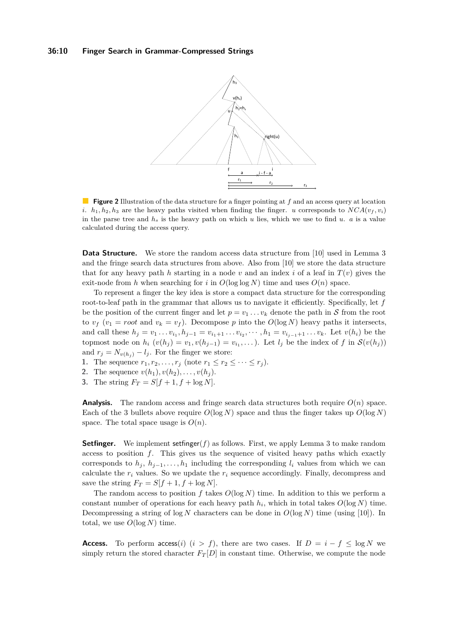#### <span id="page-9-0"></span>**36:10 Finger Search in Grammar-Compressed Strings**



**Figure 2** Illustration of the data structure for a finger pointing at *f* and an access query at location *i*.  $h_1, h_2, h_3$  are the heavy paths visited when finding the finger. *u* corresponds to  $NCA(v_f, v_i)$ in the parse tree and  $h_s$  is the heavy path on which  $u$  lies, which we use to find  $u$ .  $a$  is a value calculated during the access query.

**Data Structure.** We store the random access data structure from [\[10\]](#page-13-6) used in Lemma [3](#page-4-1) and the fringe search data structures from above. Also from [\[10\]](#page-13-6) we store the data structure that for any heavy path *h* starting in a node *v* and an index *i* of a leaf in  $T(v)$  gives the exit-node from *h* when searching for *i* in  $O(\log \log N)$  time and uses  $O(n)$  space.

To represent a finger the key idea is store a compact data structure for the corresponding root-to-leaf path in the grammar that allows us to navigate it efficiently. Specifically, let *f* be the position of the current finger and let  $p = v_1 \ldots v_k$  denote the path in S from the root to  $v_f$  ( $v_1 = root$  and  $v_k = v_f$ ). Decompose p into the  $O(\log N)$  heavy paths it intersects, and call these  $h_j = v_1 \dots v_{i_1}, h_{j-1} = v_{i_1+1} \dots v_{i_2}, \dots, h_1 = v_{i_{j-1}+1} \dots v_k$ . Let  $v(h_i)$  be the topmost node on  $h_i$   $(v(h_j) = v_1, v(h_{j-1}) = v_{i_1}, \ldots)$ . Let  $l_j$  be the index of  $f$  in  $\mathcal{S}(v(h_j))$ and  $r_j = N_{v(h_j)} - l_j$ . For the finger we store:

- **1.** The sequence  $r_1, r_2, \ldots, r_j$  (note  $r_1 \le r_2 \le \cdots \le r_j$ ).
- **2.** The sequence  $v(h_1), v(h_2), \ldots, v(h_i)$ .
- **3.** The string  $F_T = S[f + 1, f + \log N]$ .

**Analysis.** The random access and fringe search data structures both require  $O(n)$  space. Each of the 3 bullets above require  $O(\log N)$  space and thus the finger takes up  $O(\log N)$ space. The total space usage is  $O(n)$ .

**Setfinger.** We implement setfinger(*f*) as follows. First, we apply Lemma [3](#page-4-1) to make random access to position *f*. This gives us the sequence of visited heavy paths which exactly corresponds to  $h_j$ ,  $h_{j-1}, \ldots, h_1$  including the corresponding  $l_i$  values from which we can calculate the  $r_i$  values. So we update the  $r_i$  sequence accordingly. Finally, decompress and save the string  $F_T = S[f + 1, f + \log N]$ .

The random access to position  $f$  takes  $O(\log N)$  time. In addition to this we perform a constant number of operations for each heavy path  $h_i$ , which in total takes  $O(\log N)$  time. Decompressing a string of  $\log N$  characters can be done in  $O(\log N)$  time (using [\[10\]](#page-13-6)). In total, we use  $O(\log N)$  time.

**Access.** To perform  $\arccos(i)$  ( $i > f$ ), there are two cases. If  $D = i - f \le \log N$  we simply return the stored character  $F_T[D]$  in constant time. Otherwise, we compute the node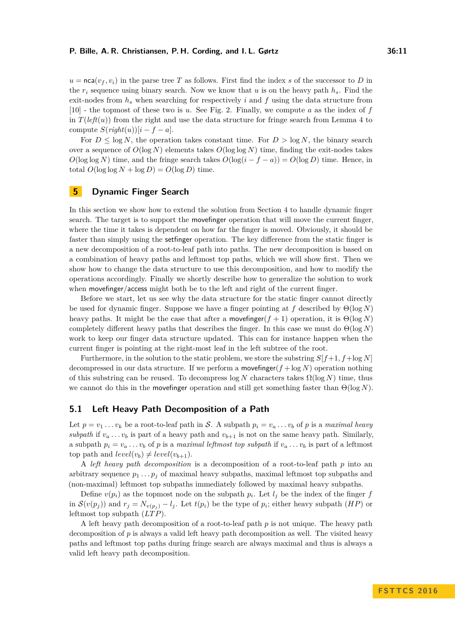$u = \text{nca}(v_f, v_i)$  in the parse tree *T* as follows. First find the index *s* of the successor to *D* in the  $r_i$  sequence using binary search. Now we know that *u* is on the heavy path  $h_s$ . Find the exit-nodes from *h<sup>s</sup>* when searching for respectively *i* and *f* using the data structure from [\[10\]](#page-13-6) - the topmost of these two is *u*. See Fig. [2.](#page-9-0) Finally, we compute *a* as the index of *f* in  $T(\text{left}(u))$  from the right and use the data structure for fringe search from Lemma [4](#page-5-0) to compute  $S(\text{right}(u))[i - f - a]$ .

For  $D \leq \log N$ , the operation takes constant time. For  $D > \log N$ , the binary search over a sequence of  $O(\log N)$  elements takes  $O(\log \log N)$  time, finding the exit-nodes takes  $O(\log \log N)$  time, and the fringe search takes  $O(\log(i - f - a)) = O(\log D)$  time. Hence, in  $\text{total } O(\log \log N + \log D) = O(\log D) \text{ time.}$ 

# **5 Dynamic Finger Search**

In this section we show how to extend the solution from Section [4](#page-8-1) to handle dynamic finger search. The target is to support the movefinger operation that will move the current finger, where the time it takes is dependent on how far the finger is moved. Obviously, it should be faster than simply using the setfinger operation. The key difference from the static finger is a new decomposition of a root-to-leaf path into paths. The new decomposition is based on a combination of heavy paths and leftmost top paths, which we will show first. Then we show how to change the data structure to use this decomposition, and how to modify the operations accordingly. Finally we shortly describe how to generalize the solution to work when move finger/access might both be to the left and right of the current finger.

Before we start, let us see why the data structure for the static finger cannot directly be used for dynamic finger. Suppose we have a finger pointing at *f* described by Θ(log *N*) heavy paths. It might be the case that after a move finger( $f + 1$ ) operation, it is  $\Theta(\log N)$ completely different heavy paths that describes the finger. In this case we must do  $\Theta(\log N)$ work to keep our finger data structure updated. This can for instance happen when the current finger is pointing at the right-most leaf in the left subtree of the root.

Furthermore, in the solution to the static problem, we store the substring *S*[*f*+1*, f*+log *N*] decompressed in our data structure. If we perform a move finger( $f + \log N$ ) operation nothing of this substring can be reused. To decompress  $\log N$  characters takes  $\Omega(\log N)$  time, thus we cannot do this in the movefinger operation and still get something faster than Θ(log *N*).

### **5.1 Left Heavy Path Decomposition of a Path**

Let  $p = v_1 \ldots v_k$  be a root-to-leaf path in S. A subpath  $p_i = v_a \ldots v_b$  of p is a *maximal heavy subpath* if  $v_a \n\t\dots v_b$  is part of a heavy path and  $v_{b+1}$  is not on the same heavy path. Similarly, a subpath  $p_i = v_a \dots v_b$  of *p* is a *maximal leftmost top subpath* if  $v_a \dots v_b$  is part of a leftmost top path and  $level(v_b) \neq level(v_{b+1})$ .

A *left heavy path decomposition* is a decomposition of a root-to-leaf path *p* into an arbitrary sequence  $p_1 \nldots p_j$  of maximal heavy subpaths, maximal leftmost top subpaths and (non-maximal) leftmost top subpaths immediately followed by maximal heavy subpaths.

Define  $v(p_i)$  as the topmost node on the subpath  $p_i$ . Let  $l_j$  be the index of the finger  $f$ in  $\mathcal{S}(v(p_j))$  and  $r_j = N_{v(p_j)} - l_j$ . Let  $t(p_i)$  be the type of  $p_i$ ; either heavy subpath  $(HP)$  or leftmost top subpath (*LT P*).

A left heavy path decomposition of a root-to-leaf path *p* is not unique. The heavy path decomposition of *p* is always a valid left heavy path decomposition as well. The visited heavy paths and leftmost top paths during fringe search are always maximal and thus is always a valid left heavy path decomposition.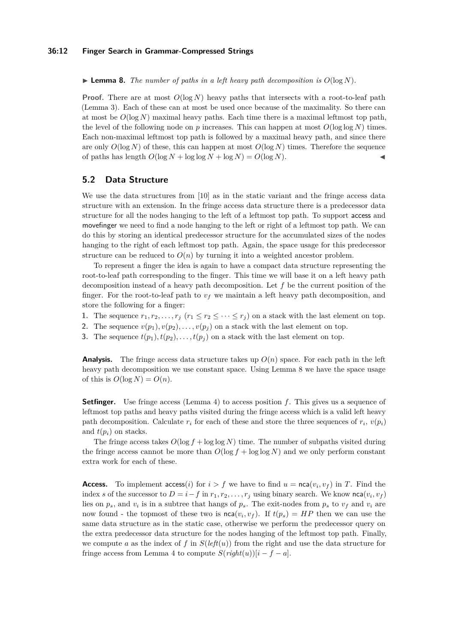#### **36:12 Finger Search in Grammar-Compressed Strings**

<span id="page-11-0"></span>**Example 8.** The number of paths in a left heavy path decomposition is  $O(\log N)$ .

**Proof.** There are at most  $O(\log N)$  heavy paths that intersects with a root-to-leaf path (Lemma [3\)](#page-4-1). Each of these can at most be used once because of the maximality. So there can at most be  $O(\log N)$  maximal heavy paths. Each time there is a maximal leftmost top path, the level of the following node on  $p$  increases. This can happen at most  $O(\log \log N)$  times. Each non-maximal leftmost top path is followed by a maximal heavy path, and since there are only  $O(\log N)$  of these, this can happen at most  $O(\log N)$  times. Therefore the sequence of paths has length  $O(\log N + \log \log N + \log N) = O(\log N)$ .

# **5.2 Data Structure**

We use the data structures from [\[10\]](#page-13-6) as in the static variant and the fringe access data structure with an extension. In the fringe access data structure there is a predecessor data structure for all the nodes hanging to the left of a leftmost top path. To support access and movefinger we need to find a node hanging to the left or right of a leftmost top path. We can do this by storing an identical predecessor structure for the accumulated sizes of the nodes hanging to the right of each leftmost top path. Again, the space usage for this predecessor structure can be reduced to  $O(n)$  by turning it into a weighted ancestor problem.

To represent a finger the idea is again to have a compact data structure representing the root-to-leaf path corresponding to the finger. This time we will base it on a left heavy path decomposition instead of a heavy path decomposition. Let *f* be the current position of the finger. For the root-to-leaf path to  $v_f$  we maintain a left heavy path decomposition, and store the following for a finger:

- **1.** The sequence  $r_1, r_2, \ldots, r_j$  ( $r_1 \leq r_2 \leq \cdots \leq r_j$ ) on a stack with the last element on top.
- **2.** The sequence  $v(p_1), v(p_2), \ldots, v(p_j)$  on a stack with the last element on top.
- **3.** The sequence  $t(p_1), t(p_2), \ldots, t(p_j)$  on a stack with the last element on top.

**Analysis.** The fringe access data structure takes up  $O(n)$  space. For each path in the left heavy path decomposition we use constant space. Using Lemma [8](#page-11-0) we have the space usage of this is  $O(\log N) = O(n)$ .

**Setfinger.** Use fringe access (Lemma [4\)](#page-5-0) to access position f. This gives us a sequence of leftmost top paths and heavy paths visited during the fringe access which is a valid left heavy path decomposition. Calculate  $r_i$  for each of these and store the three sequences of  $r_i$ ,  $v(p_i)$ and  $t(p_i)$  on stacks.

The fringe access takes  $O(\log f + \log \log N)$  time. The number of subpaths visited during the fringe access cannot be more than  $O(\log f + \log \log N)$  and we only perform constant extra work for each of these.

**Access.** To implement  $\text{access}(i)$  for  $i > f$  we have to find  $u = \text{nca}(v_i, v_f)$  in *T*. Find the index *s* of the successor to  $D = i - f$  in  $r_1, r_2, \ldots, r_j$  using binary search. We know  $nca(v_i, v_f)$ lies on  $p_s$ , and  $v_i$  is in a subtree that hangs of  $p_s$ . The exit-nodes from  $p_s$  to  $v_f$  and  $v_i$  are now found - the topmost of these two is  $nca(v_i, v_f)$ . If  $t(p_s) = HP$  then we can use the same data structure as in the static case, otherwise we perform the predecessor query on the extra predecessor data structure for the nodes hanging of the leftmost top path. Finally, we compute *a* as the index of *f* in  $S(\text{left}(u))$  from the right and use the data structure for fringe access from Lemma [4](#page-5-0) to compute  $S(\text{right}(u))[i - f - a]$ .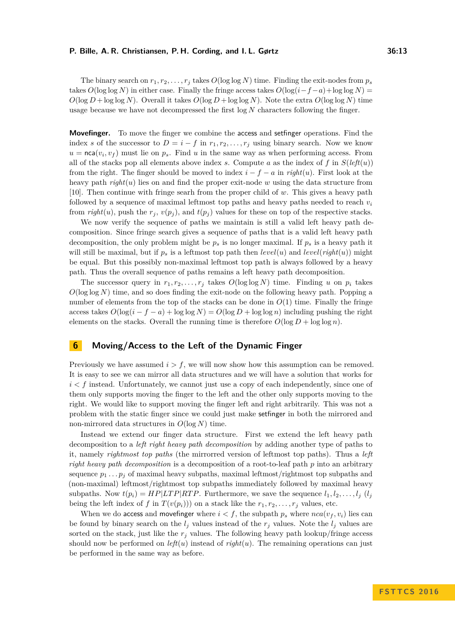The binary search on  $r_1, r_2, \ldots, r_j$  takes  $O(\log \log N)$  time. Finding the exit-nodes from  $p_s$ takes  $O(\log \log N)$  in either case. Finally the fringe access takes  $O(\log(i - f - a) + \log \log N)$  $O(\log D + \log \log N)$ . Overall it takes  $O(\log D + \log \log N)$ . Note the extra  $O(\log \log N)$  time usage because we have not decompressed the first log *N* characters following the finger.

**Movefinger.** To move the finger we combine the access and setfinger operations. Find the index *s* of the successor to  $D = i - f$  in  $r_1, r_2, \ldots, r_j$  using binary search. Now we know  $u = \text{nca}(v_i, v_f)$  must lie on  $p_s$ . Find *u* in the same way as when performing access. From all of the stacks pop all elements above index *s*. Compute *a* as the index of *f* in  $S(\text{left}(u))$ from the right. The finger should be moved to index  $i - f - a$  in *right*(*u*). First look at the heavy path *right*(*u*) lies on and find the proper exit-node *w* using the data structure from [\[10\]](#page-13-6). Then continue with fringe searh from the proper child of *w*. This gives a heavy path followed by a sequence of maximal leftmost top paths and heavy paths needed to reach  $v_i$ from *right*(*u*), push the  $r_j$ ,  $v(p_j)$ , and  $t(p_j)$  values for these on top of the respective stacks.

We now verify the sequence of paths we maintain is still a valid left heavy path decomposition. Since fringe search gives a sequence of paths that is a valid left heavy path decomposition, the only problem might be  $p_s$  is no longer maximal. If  $p_s$  is a heavy path it will still be maximal, but if  $p_s$  is a leftmost top path then  $level(u)$  and  $level(right(u))$  might be equal. But this possibly non-maximal leftmost top path is always followed by a heavy path. Thus the overall sequence of paths remains a left heavy path decomposition.

The successor query in  $r_1, r_2, \ldots, r_j$  takes  $O(\log \log N)$  time. Finding *u* on  $p_i$  takes  $O(\log \log N)$  time, and so does finding the exit-node on the following heavy path. Popping a number of elements from the top of the stacks can be done in  $O(1)$  time. Finally the fringe access takes  $O(\log(i - f - a) + \log \log N) = O(\log D + \log \log n)$  including pushing the right elements on the stacks. Overall the running time is therefore  $O(\log D + \log \log n)$ .

# **6 Moving/Access to the Left of the Dynamic Finger**

Previously we have assumed *i > f*, we will now show how this assumption can be removed. It is easy to see we can mirror all data structures and we will have a solution that works for  $i < f$  instead. Unfortunately, we cannot just use a copy of each independently, since one of them only supports moving the finger to the left and the other only supports moving to the right. We would like to support moving the finger left and right arbitrarily. This was not a problem with the static finger since we could just make setfinger in both the mirrored and non-mirrored data structures in *O*(log *N*) time.

Instead we extend our finger data structure. First we extend the left heavy path decomposition to a *left right heavy path decomposition* by adding another type of paths to it, namely *rightmost top paths* (the mirrorred version of leftmost top paths). Thus a *left right heavy path decomposition* is a decomposition of a root-to-leaf path *p* into an arbitrary sequence  $p_1 \ldots p_j$  of maximal heavy subpaths, maximal leftmost/rightmost top subpaths and (non-maximal) leftmost/rightmost top subpaths immediately followed by maximal heavy subpaths. Now  $t(p_i) = HP|LTP|RTP$ . Furthermore, we save the sequence  $l_1, l_2, \ldots, l_j$  ( $l_j$ being the left index of *f* in  $T(v(p_i))$  on a stack like the  $r_1, r_2, \ldots, r_j$  values, etc.

When we do access and move finger where  $i < f$ , the subpath  $p_s$  where  $nca(v_f, v_i)$  lies can be found by binary search on the  $l_j$  values instead of the  $r_j$  values. Note the  $l_j$  values are sorted on the stack, just like the  $r<sub>j</sub>$  values. The following heavy path lookup/fringe access should now be performed on  $left(u)$  instead of  $right(u)$ . The remaining operations can just be performed in the same way as before.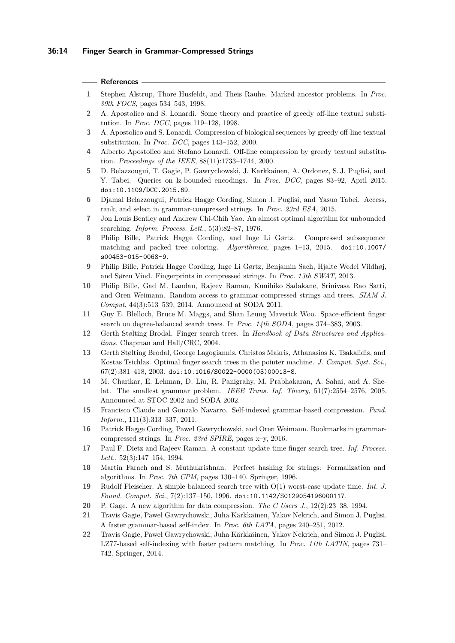#### **References**

- <span id="page-13-20"></span>**1** Stephen Alstrup, Thore Husfeldt, and Theis Rauhe. Marked ancestor problems. In *Proc. 39th FOCS*, pages 534–543, 1998.
- <span id="page-13-2"></span>**2** A. Apostolico and S. Lonardi. Some theory and practice of greedy off-line textual substitution. In *Proc. DCC*, pages 119–128, 1998.
- <span id="page-13-3"></span>**3** A. Apostolico and S. Lonardi. Compression of biological sequences by greedy off-line textual substitution. In *Proc. DCC*, pages 143–152, 2000.
- <span id="page-13-1"></span>**4** Alberto Apostolico and Stefano Lonardi. Off-line compression by greedy textual substitution. *Proceedings of the IEEE*, 88(11):1733–1744, 2000.
- <span id="page-13-12"></span>**5** D. Belazzougui, T. Gagie, P. Gawrychowski, J. Karkkainen, A. Ordonez, S. J. Puglisi, and Y. Tabei. Queries on lz-bounded encodings. In *Proc. DCC*, pages 83–92, April 2015. [doi:10.1109/DCC.2015.69](http://dx.doi.org/10.1109/DCC.2015.69).
- <span id="page-13-10"></span>**6** Djamal Belazzougui, Patrick Hagge Cording, Simon J. Puglisi, and Yasuo Tabei. Access, rank, and select in grammar-compressed strings. In *Proc. 23rd ESA*, 2015.
- <span id="page-13-14"></span>**7** Jon Louis Bentley and Andrew Chi-Chih Yao. An almost optimal algorithm for unbounded searching. *Inform. Process. Lett.*, 5(3):82–87, 1976.
- <span id="page-13-9"></span>**8** Philip Bille, Patrick Hagge Cording, and Inge Li Gørtz. Compressed subsequence matching and packed tree coloring. *Algorithmica*, pages 1–13, 2015. [doi:10.1007/](http://dx.doi.org/10.1007/s00453-015-0068-9) [s00453-015-0068-9](http://dx.doi.org/10.1007/s00453-015-0068-9).
- <span id="page-13-5"></span>**9** Philip Bille, Patrick Hagge Cording, Inge Li Gørtz, Benjamin Sach, Hjalte Wedel Vildhøj, and Søren Vind. Fingerprints in compressed strings. In *Proc. 13th SWAT*, 2013.
- <span id="page-13-6"></span>**10** Philip Bille, Gad M. Landau, Rajeev Raman, Kunihiko Sadakane, Srinivasa Rao Satti, and Oren Weimann. Random access to grammar-compressed strings and trees. *SIAM J. Comput*, 44(3):513–539, 2014. Announced at SODA 2011.
- <span id="page-13-15"></span>**11** Guy E. Blelloch, Bruce M. Maggs, and Shan Leung Maverick Woo. Space-efficient finger search on degree-balanced search trees. In *Proc. 14th SODA*, pages 374–383, 2003.
- <span id="page-13-19"></span>**12** Gerth Stølting Brodal. Finger search trees. In *Handbook of Data Structures and Applications.* Chapman and Hall/CRC, 2004.
- <span id="page-13-16"></span>**13** Gerth Stølting Brodal, George Lagogiannis, Christos Makris, Athanasios K. Tsakalidis, and Kostas Tsichlas. Optimal finger search trees in the pointer machine. *J. Comput. Syst. Sci.*, 67(2):381–418, 2003. [doi:10.1016/S0022-0000\(03\)00013-8](http://dx.doi.org/10.1016/S0022-0000(03)00013-8).
- <span id="page-13-4"></span>**14** M. Charikar, E. Lehman, D. Liu, R. Panigrahy, M. Prabhakaran, A. Sahai, and A. Shelat. The smallest grammar problem. *IEEE Trans. Inf. Theory*, 51(7):2554–2576, 2005. Announced at STOC 2002 and SODA 2002.
- <span id="page-13-11"></span>**15** Francisco Claude and Gonzalo Navarro. Self-indexed grammar-based compression. *Fund. Inform.*, 111(3):313–337, 2011.
- <span id="page-13-13"></span>**16** Patrick Hagge Cording, Paweł Gawrychowski, and Oren Weimann. Bookmarks in grammarcompressed strings. In *Proc. 23rd SPIRE*, pages x–y, 2016.
- <span id="page-13-17"></span>**17** Paul F. Dietz and Rajeev Raman. A constant update time finger search tree. *Inf. Process. Lett.*, 52(3):147–154, 1994.
- <span id="page-13-21"></span>**18** Martin Farach and S. Muthukrishnan. Perfect hashing for strings: Formalization and algorithms. In *Proc. 7th CPM*, pages 130–140. Springer, 1996.
- <span id="page-13-18"></span>**19** Rudolf Fleischer. A simple balanced search tree with O(1) worst-case update time. *Int. J. Found. Comput. Sci.*, 7(2):137–150, 1996. [doi:10.1142/S0129054196000117](http://dx.doi.org/10.1142/S0129054196000117).
- <span id="page-13-0"></span>**20** P. Gage. A new algorithm for data compression. *The C Users J.*, 12(2):23–38, 1994.
- <span id="page-13-7"></span>**21** Travis Gagie, Paweł Gawrychowski, Juha Kärkkäinen, Yakov Nekrich, and Simon J. Puglisi. A faster grammar-based self-index. In *Proc. 6th LATA*, pages 240–251, 2012.
- <span id="page-13-8"></span>**22** Travis Gagie, Paweł Gawrychowski, Juha Kärkkäinen, Yakov Nekrich, and Simon J. Puglisi. LZ77-based self-indexing with faster pattern matching. In *Proc. 11th LATIN*, pages 731– 742. Springer, 2014.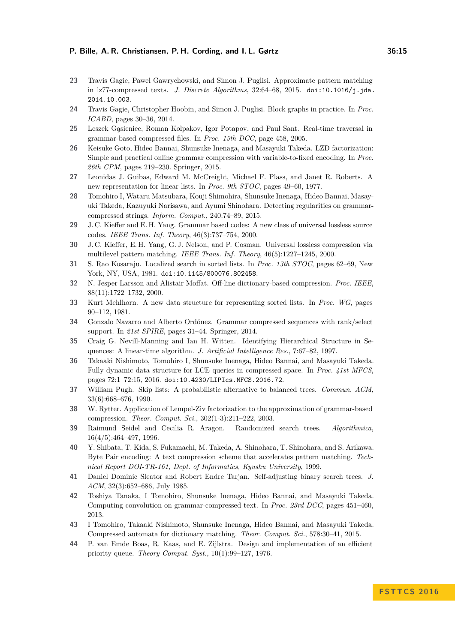- <span id="page-14-7"></span>**23** Travis Gagie, Pawel Gawrychowski, and Simon J. Puglisi. Approximate pattern matching in lz77-compressed texts. *J. Discrete Algorithms*, 32:64–68, 2015. [doi:10.1016/j.jda.](http://dx.doi.org/10.1016/j.jda.2014.10.003) [2014.10.003](http://dx.doi.org/10.1016/j.jda.2014.10.003).
- <span id="page-14-14"></span>**24** Travis Gagie, Christopher Hoobin, and Simon J. Puglisi. Block graphs in practice. In *Proc. ICABD*, pages 30–36, 2014.
- <span id="page-14-12"></span>**25** Leszek G¸asieniec, Roman Kolpakov, Igor Potapov, and Paul Sant. Real-time traversal in grammar-based compressed files. In *Proc. 15th DCC*, page 458, 2005.
- <span id="page-14-5"></span>**26** Keisuke Goto, Hideo Bannai, Shunsuke Inenaga, and Masayuki Takeda. LZD factorization: Simple and practical online grammar compression with variable-to-fixed encoding. In *Proc. 26th CPM*, pages 219–230. Springer, 2015.
- <span id="page-14-16"></span>**27** Leonidas J. Guibas, Edward M. McCreight, Michael F. Plass, and Janet R. Roberts. A new representation for linear lists. In *Proc. 9th STOC*, pages 49–60, 1977.
- <span id="page-14-8"></span>**28** Tomohiro I, Wataru Matsubara, Kouji Shimohira, Shunsuke Inenaga, Hideo Bannai, Masayuki Takeda, Kazuyuki Narisawa, and Ayumi Shinohara. Detecting regularities on grammarcompressed strings. *Inform. Comput.*, 240:74–89, 2015.
- <span id="page-14-3"></span>**29** J. C. Kieffer and E. H. Yang. Grammar based codes: A new class of universal lossless source codes. *IEEE Trans. Inf. Theory*, 46(3):737–754, 2000.
- <span id="page-14-4"></span>**30** J. C. Kieffer, E. H. Yang, G. J. Nelson, and P. Cosman. Universal lossless compression via multilevel pattern matching. *IEEE Trans. Inf. Theory*, 46(5):1227–1245, 2000.
- <span id="page-14-18"></span>**31** S. Rao Kosaraju. Localized search in sorted lists. In *Proc. 13th STOC*, pages 62–69, New York, NY, USA, 1981. [doi:10.1145/800076.802458](http://dx.doi.org/10.1145/800076.802458).
- <span id="page-14-1"></span>**32** N. Jesper Larsson and Alistair Moffat. Off-line dictionary-based compression. *Proc. IEEE*, 88(11):1722–1732, 2000.
- <span id="page-14-17"></span>**33** Kurt Mehlhorn. A new data structure for representing sorted lists. In *Proc. WG*, pages 90–112, 1981.
- <span id="page-14-13"></span>**34** Gonzalo Navarro and Alberto Ordónez. Grammar compressed sequences with rank/select support. In *21st SPIRE*, pages 31–44. Springer, 2014.
- <span id="page-14-0"></span>**35** Craig G. Nevill-Manning and Ian H. Witten. Identifying Hierarchical Structure in Sequences: A linear-time algorithm. *J. Artificial Intelligence Res.*, 7:67–82, 1997.
- <span id="page-14-11"></span>**36** Takaaki Nishimoto, Tomohiro I, Shunsuke Inenaga, Hideo Bannai, and Masayuki Takeda. Fully dynamic data structure for LCE queries in compressed space. In *Proc. 41st MFCS*, pages 72:1–72:15, 2016. [doi:10.4230/LIPIcs.MFCS.2016.72](http://dx.doi.org/10.4230/LIPIcs.MFCS.2016.72).
- <span id="page-14-19"></span>**37** William Pugh. Skip lists: A probabilistic alternative to balanced trees. *Commun. ACM*, 33(6):668–676, 1990.
- <span id="page-14-6"></span>**38** W. Rytter. Application of Lempel-Ziv factorization to the approximation of grammar-based compression. *Theor. Comput. Sci.*, 302(1-3):211–222, 2003.
- <span id="page-14-15"></span>**39** Raimund Seidel and Cecilia R. Aragon. Randomized search trees. *Algorithmica*, 16(4/5):464–497, 1996.
- <span id="page-14-2"></span>**40** Y. Shibata, T. Kida, S. Fukamachi, M. Takeda, A. Shinohara, T. Shinohara, and S. Arikawa. Byte Pair encoding: A text compression scheme that accelerates pattern matching. *Technical Report DOI-TR-161, Dept. of Informatics, Kyushu University*, 1999.
- <span id="page-14-20"></span>**41** Daniel Dominic Sleator and Robert Endre Tarjan. Self-adjusting binary search trees. *J. ACM*, 32(3):652–686, July 1985.
- <span id="page-14-9"></span>**42** Toshiya Tanaka, I Tomohiro, Shunsuke Inenaga, Hideo Bannai, and Masayuki Takeda. Computing convolution on grammar-compressed text. In *Proc. 23rd DCC*, pages 451–460, 2013.
- <span id="page-14-10"></span>**43** I Tomohiro, Takaaki Nishimoto, Shunsuke Inenaga, Hideo Bannai, and Masayuki Takeda. Compressed automata for dictionary matching. *Theor. Comput. Sci.*, 578:30–41, 2015.
- <span id="page-14-21"></span>**44** P. van Emde Boas, R. Kaas, and E. Zijlstra. Design and implementation of an efficient priority queue. *Theory Comput. Syst.*, 10(1):99–127, 1976.